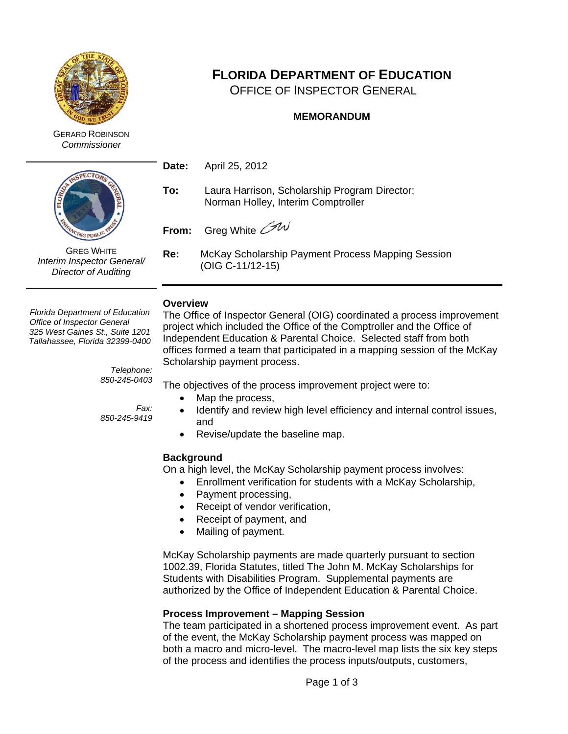

GERARD ROBINSON *Commissioner*



GREG WHITE *Interim Inspector General/ Director of Auditing*

# **FLORIDA DEPARTMENT OF EDUCATION**

OFFICE OF INSPECTOR GENERAL

## **MEMORANDUM**

**Date:** April 25, 2012

**To:** Laura Harrison, Scholarship Program Director; Norman Holley, Interim Comptroller

**From:** Greg White *GW* 

**Re:** McKay Scholarship Payment Process Mapping Session (OIG C-11/12-15)

#### **Overview**

*Florida Department of Education Office of Inspector General 325 West Gaines St., Suite 1201 Tallahassee, Florida 32399-0400*

> *Telephone: 850-245-0403*

*850-245-9419*

*Fax:*

The Office of Inspector General (OIG) coordinated a process improvement project which included the Office of the Comptroller and the Office of Independent Education & Parental Choice. Selected staff from both offices formed a team that participated in a mapping session of the McKay Scholarship payment process.

The objectives of the process improvement project were to:

- Map the process,
	- Identify and review high level efficiency and internal control issues, and
- Revise/update the baseline map.

## **Background**

On a high level, the McKay Scholarship payment process involves:

- Enrollment verification for students with a McKay Scholarship,
- Payment processing,
- Receipt of vendor verification,
- Receipt of payment, and
- Mailing of payment.

McKay Scholarship payments are made quarterly pursuant to section 1002.39, Florida Statutes, titled The John M. McKay Scholarships for Students with Disabilities Program. Supplemental payments are authorized by the Office of Independent Education & Parental Choice.

### **Process Improvement – Mapping Session**

The team participated in a shortened process improvement event. As part of the event, the McKay Scholarship payment process was mapped on both a macro and micro-level. The macro-level map lists the six key steps of the process and identifies the process inputs/outputs, customers,

Page 1 of 3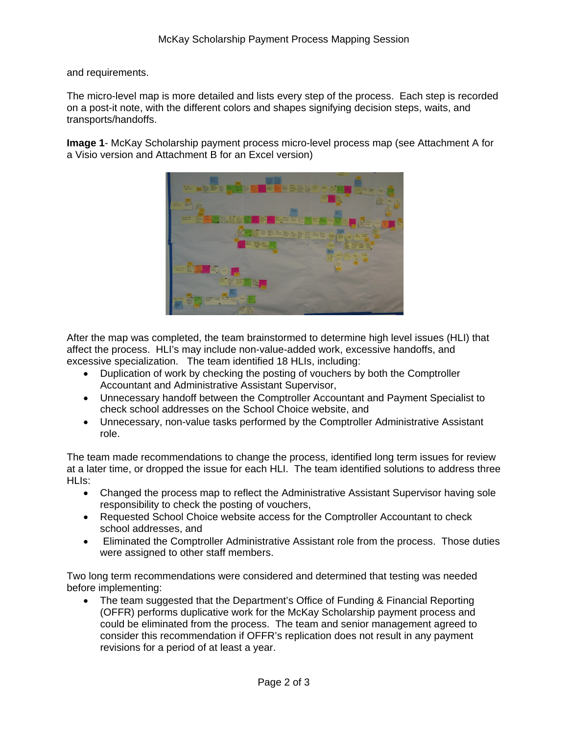and requirements.

The micro-level map is more detailed and lists every step of the process. Each step is recorded on a post-it note, with the different colors and shapes signifying decision steps, waits, and transports/handoffs.

**Image 1**- McKay Scholarship payment process micro-level process map (see Attachment A for a Visio version and Attachment B for an Excel version)



After the map was completed, the team brainstormed to determine high level issues (HLI) that affect the process. HLI's may include non-value-added work, excessive handoffs, and excessive specialization. The team identified 18 HLIs, including:

- Duplication of work by checking the posting of vouchers by both the Comptroller Accountant and Administrative Assistant Supervisor,
- Unnecessary handoff between the Comptroller Accountant and Payment Specialist to check school addresses on the School Choice website, and
- Unnecessary, non-value tasks performed by the Comptroller Administrative Assistant role.

The team made recommendations to change the process, identified long term issues for review at a later time, or dropped the issue for each HLI. The team identified solutions to address three HLIs:

- Changed the process map to reflect the Administrative Assistant Supervisor having sole responsibility to check the posting of vouchers,
- Requested School Choice website access for the Comptroller Accountant to check school addresses, and
- Eliminated the Comptroller Administrative Assistant role from the process. Those duties were assigned to other staff members.

Two long term recommendations were considered and determined that testing was needed before implementing:

• The team suggested that the Department's Office of Funding & Financial Reporting (OFFR) performs duplicative work for the McKay Scholarship payment process and could be eliminated from the process. The team and senior management agreed to consider this recommendation if OFFR's replication does not result in any payment revisions for a period of at least a year.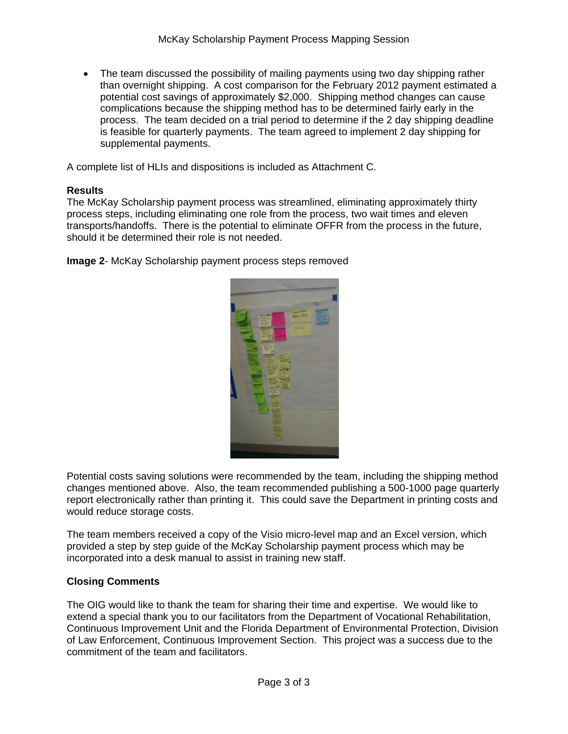• The team discussed the possibility of mailing payments using two day shipping rather than overnight shipping. A cost comparison for the February 2012 payment estimated a potential cost savings of approximately \$2,000. Shipping method changes can cause complications because the shipping method has to be determined fairly early in the process. The team decided on a trial period to determine if the 2 day shipping deadline is feasible for quarterly payments. The team agreed to implement 2 day shipping for supplemental payments.

A complete list of HLIs and dispositions is included as Attachment C.

#### **Results**

The McKay Scholarship payment process was streamlined, eliminating approximately thirty process steps, including eliminating one role from the process, two wait times and eleven transports/handoffs. There is the potential to eliminate OFFR from the process in the future, should it be determined their role is not needed.

**Image 2**- McKay Scholarship payment process steps removed



Potential costs saving solutions were recommended by the team, including the shipping method changes mentioned above. Also, the team recommended publishing a 500-1000 page quarterly report electronically rather than printing it. This could save the Department in printing costs and would reduce storage costs.

The team members received a copy of the Visio micro-level map and an Excel version, which provided a step by step guide of the McKay Scholarship payment process which may be incorporated into a desk manual to assist in training new staff.

#### **Closing Comments**

The OIG would like to thank the team for sharing their time and expertise. We would like to extend a special thank you to our facilitators from the Department of Vocational Rehabilitation, Continuous Improvement Unit and the Florida Department of Environmental Protection, Division of Law Enforcement, Continuous Improvement Section. This project was a success due to the commitment of the team and facilitators.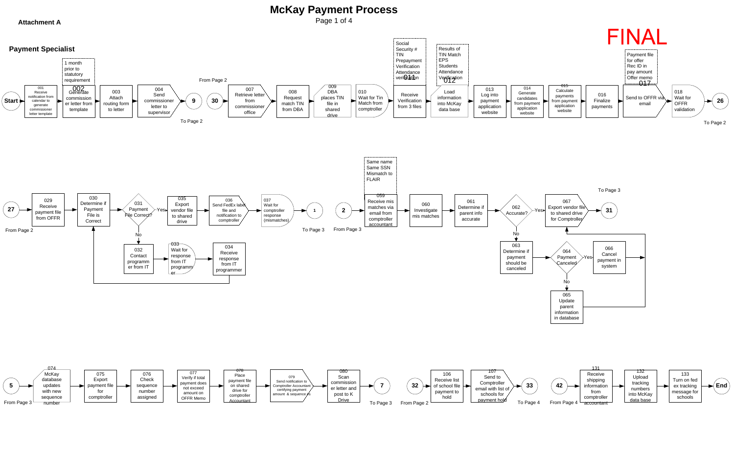



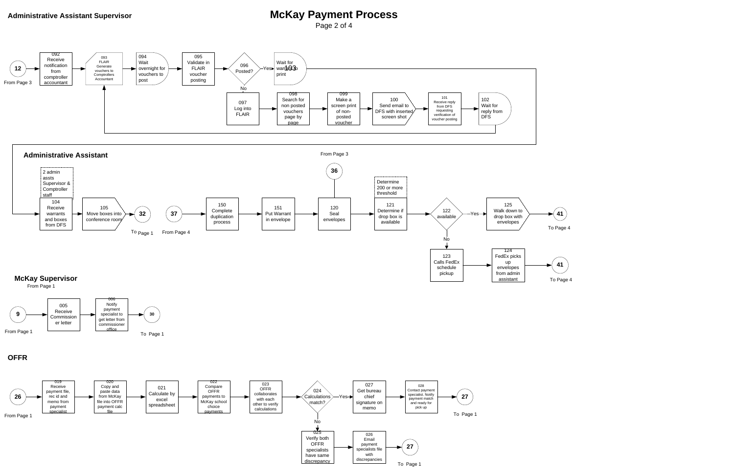# Administrative Assistant Supervisor **McKay Payment Process**

Page 2 of 4

Calls FedEx schedule pickup





#### **McKay Supervisor**  From Page 1

up envelopes from admin assistant



**41**  To Page 4



### **OFFR**

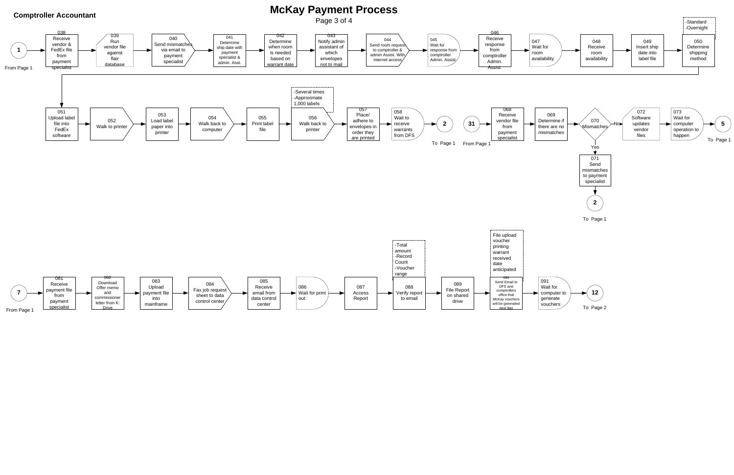



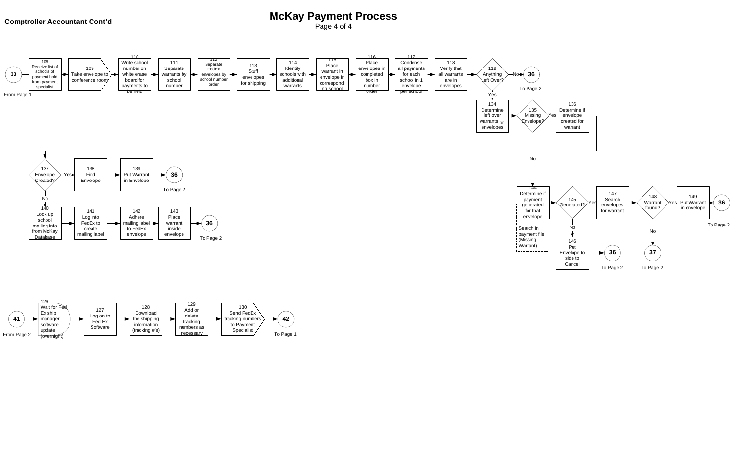# **Comptroller Accountant Cont'd Context Context Context Context Context Context Context Context Context Context Context Context Context Context Context Context Context Context Context Context Context Context Context Context**

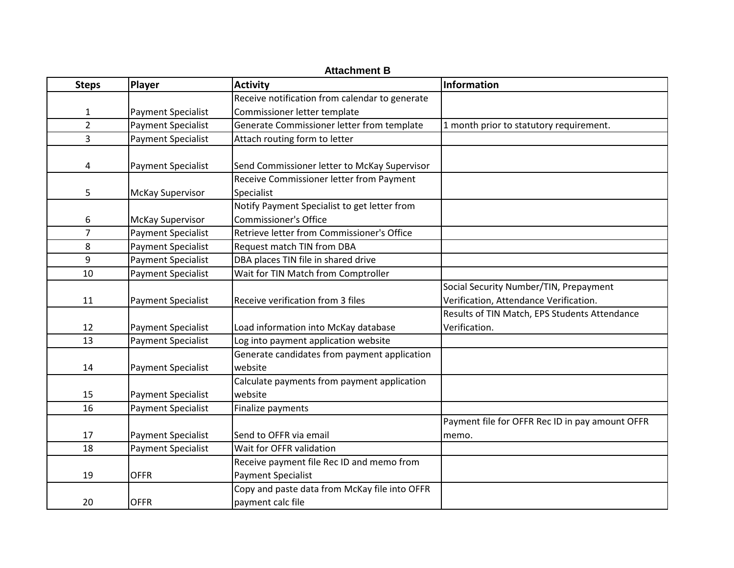| <b>Attachment B</b> |                           |                                                                        |                                                                                  |
|---------------------|---------------------------|------------------------------------------------------------------------|----------------------------------------------------------------------------------|
| <b>Steps</b>        | <b>Player</b>             | <b>Activity</b>                                                        | Information                                                                      |
|                     |                           | Receive notification from calendar to generate                         |                                                                                  |
| $\mathbf{1}$        | <b>Payment Specialist</b> | Commissioner letter template                                           |                                                                                  |
| $\overline{2}$      | <b>Payment Specialist</b> | Generate Commissioner letter from template                             | 1 month prior to statutory requirement.                                          |
| 3                   | <b>Payment Specialist</b> | Attach routing form to letter                                          |                                                                                  |
| 4                   | <b>Payment Specialist</b> | Send Commissioner letter to McKay Supervisor                           |                                                                                  |
| 5                   | <b>McKay Supervisor</b>   | Receive Commissioner letter from Payment<br>Specialist                 |                                                                                  |
| 6                   | <b>McKay Supervisor</b>   | Notify Payment Specialist to get letter from<br>Commissioner's Office  |                                                                                  |
| $\overline{7}$      | Payment Specialist        | Retrieve letter from Commissioner's Office                             |                                                                                  |
| 8                   | Payment Specialist        | Request match TIN from DBA                                             |                                                                                  |
| 9                   | Payment Specialist        | DBA places TIN file in shared drive                                    |                                                                                  |
| 10                  | <b>Payment Specialist</b> | Wait for TIN Match from Comptroller                                    |                                                                                  |
| 11                  | <b>Payment Specialist</b> | Receive verification from 3 files                                      | Social Security Number/TIN, Prepayment<br>Verification, Attendance Verification. |
| 12                  | <b>Payment Specialist</b> | Load information into McKay database                                   | Results of TIN Match, EPS Students Attendance<br>Verification.                   |
| 13                  | Payment Specialist        | Log into payment application website                                   |                                                                                  |
| 14                  | <b>Payment Specialist</b> | Generate candidates from payment application<br>website                |                                                                                  |
| 15                  | <b>Payment Specialist</b> | Calculate payments from payment application<br>website                 |                                                                                  |
| 16                  | <b>Payment Specialist</b> | Finalize payments                                                      |                                                                                  |
| 17                  | <b>Payment Specialist</b> | Send to OFFR via email                                                 | Payment file for OFFR Rec ID in pay amount OFFR<br>memo.                         |
| 18                  | <b>Payment Specialist</b> | Wait for OFFR validation                                               |                                                                                  |
| 19                  | <b>OFFR</b>               | Receive payment file Rec ID and memo from<br><b>Payment Specialist</b> |                                                                                  |
| 20                  | <b>OFFR</b>               | Copy and paste data from McKay file into OFFR<br>payment calc file     |                                                                                  |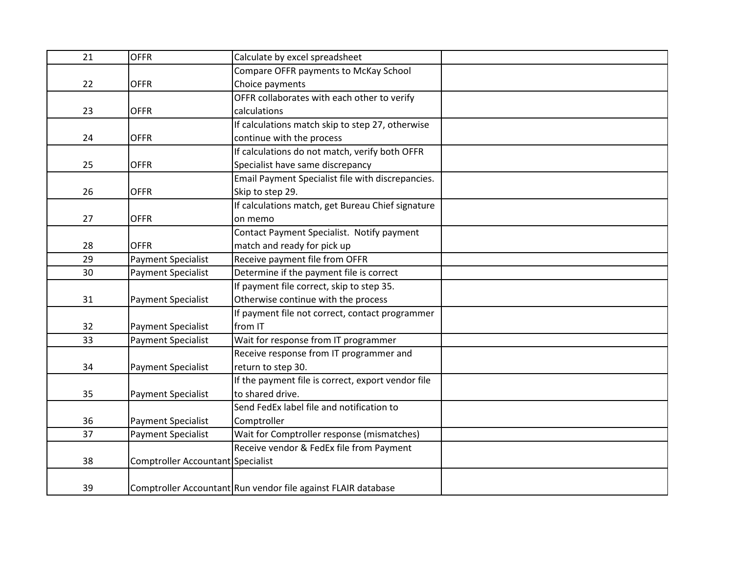| 21 | <b>OFFR</b>                       | Calculate by excel spreadsheet                                |  |
|----|-----------------------------------|---------------------------------------------------------------|--|
|    |                                   | Compare OFFR payments to McKay School                         |  |
| 22 | <b>OFFR</b>                       | Choice payments                                               |  |
|    |                                   | OFFR collaborates with each other to verify                   |  |
| 23 | <b>OFFR</b>                       | calculations                                                  |  |
|    |                                   | If calculations match skip to step 27, otherwise              |  |
| 24 | <b>OFFR</b>                       | continue with the process                                     |  |
|    |                                   | If calculations do not match, verify both OFFR                |  |
| 25 | <b>OFFR</b>                       | Specialist have same discrepancy                              |  |
|    |                                   | Email Payment Specialist file with discrepancies.             |  |
| 26 | <b>OFFR</b>                       | Skip to step 29.                                              |  |
|    |                                   | If calculations match, get Bureau Chief signature             |  |
| 27 | <b>OFFR</b>                       | on memo                                                       |  |
|    |                                   | Contact Payment Specialist. Notify payment                    |  |
| 28 | <b>OFFR</b>                       | match and ready for pick up                                   |  |
| 29 | <b>Payment Specialist</b>         | Receive payment file from OFFR                                |  |
| 30 | <b>Payment Specialist</b>         | Determine if the payment file is correct                      |  |
|    |                                   | If payment file correct, skip to step 35.                     |  |
| 31 | <b>Payment Specialist</b>         | Otherwise continue with the process                           |  |
|    |                                   | If payment file not correct, contact programmer               |  |
| 32 | <b>Payment Specialist</b>         | from IT                                                       |  |
| 33 | <b>Payment Specialist</b>         | Wait for response from IT programmer                          |  |
|    |                                   | Receive response from IT programmer and                       |  |
| 34 | <b>Payment Specialist</b>         | return to step 30.                                            |  |
|    |                                   | If the payment file is correct, export vendor file            |  |
| 35 | <b>Payment Specialist</b>         | to shared drive.                                              |  |
|    |                                   | Send FedEx label file and notification to                     |  |
| 36 | <b>Payment Specialist</b>         | Comptroller                                                   |  |
| 37 | <b>Payment Specialist</b>         | Wait for Comptroller response (mismatches)                    |  |
|    |                                   | Receive vendor & FedEx file from Payment                      |  |
| 38 | Comptroller Accountant Specialist |                                                               |  |
|    |                                   |                                                               |  |
| 39 |                                   | Comptroller Accountant Run vendor file against FLAIR database |  |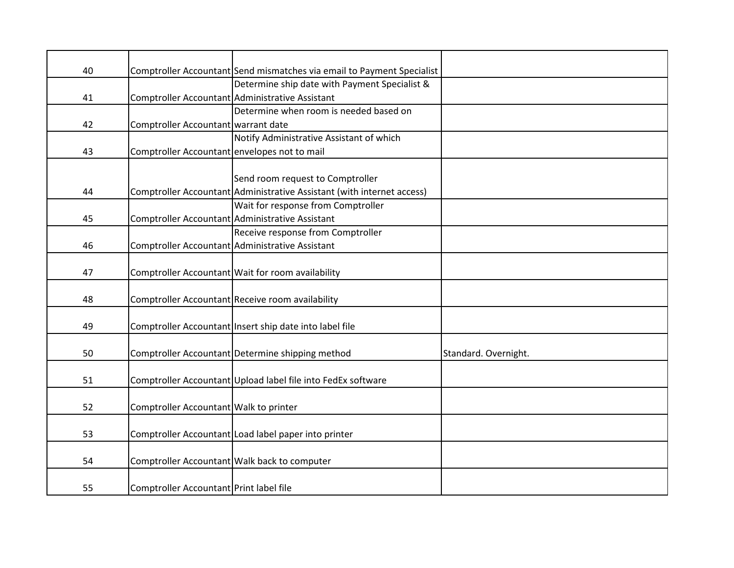| 40 |                                              | Comptroller Accountant Send mismatches via email to Payment Specialist |                      |
|----|----------------------------------------------|------------------------------------------------------------------------|----------------------|
|    |                                              | Determine ship date with Payment Specialist &                          |                      |
| 41 |                                              | Comptroller Accountant Administrative Assistant                        |                      |
|    |                                              | Determine when room is needed based on                                 |                      |
| 42 | Comptroller Accountant warrant date          |                                                                        |                      |
|    |                                              | Notify Administrative Assistant of which                               |                      |
| 43 | Comptroller Accountant envelopes not to mail |                                                                        |                      |
|    |                                              |                                                                        |                      |
|    |                                              | Send room request to Comptroller                                       |                      |
| 44 |                                              | Comptroller Accountant Administrative Assistant (with internet access) |                      |
|    |                                              | Wait for response from Comptroller                                     |                      |
| 45 |                                              | Comptroller Accountant Administrative Assistant                        |                      |
|    |                                              | Receive response from Comptroller                                      |                      |
| 46 |                                              | Comptroller Accountant Administrative Assistant                        |                      |
|    |                                              |                                                                        |                      |
| 47 |                                              | Comptroller Accountant Wait for room availability                      |                      |
|    |                                              |                                                                        |                      |
| 48 |                                              | Comptroller Accountant Receive room availability                       |                      |
|    |                                              |                                                                        |                      |
| 49 |                                              | Comptroller Accountant Insert ship date into label file                |                      |
|    |                                              |                                                                        |                      |
| 50 |                                              | Comptroller Accountant Determine shipping method                       | Standard. Overnight. |
|    |                                              |                                                                        |                      |
| 51 |                                              | Comptroller Accountant Upload label file into FedEx software           |                      |
| 52 |                                              |                                                                        |                      |
|    | Comptroller Accountant Walk to printer       |                                                                        |                      |
| 53 |                                              | Comptroller Accountant Load label paper into printer                   |                      |
|    |                                              |                                                                        |                      |
| 54 |                                              | Comptroller Accountant Walk back to computer                           |                      |
|    |                                              |                                                                        |                      |
| 55 | Comptroller Accountant Print label file      |                                                                        |                      |
|    |                                              |                                                                        |                      |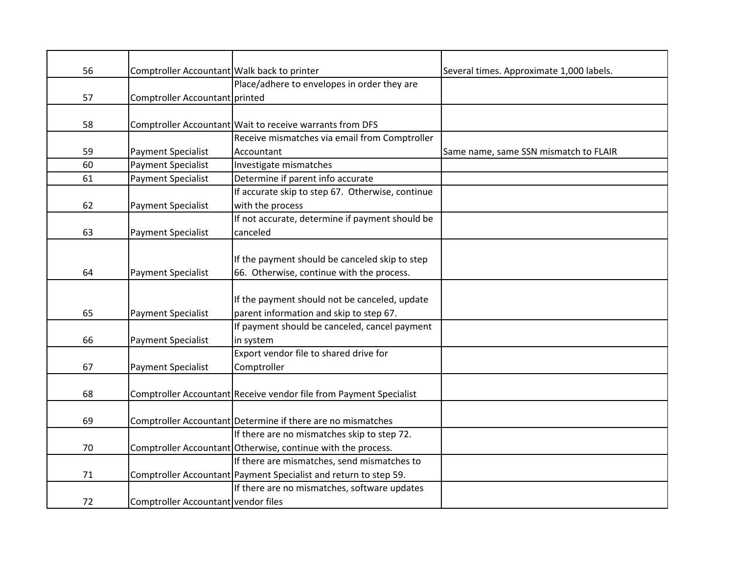| 56 | Comptroller Accountant Walk back to printer |                                                                    | Several times. Approximate 1,000 labels. |
|----|---------------------------------------------|--------------------------------------------------------------------|------------------------------------------|
|    |                                             | Place/adhere to envelopes in order they are                        |                                          |
| 57 | Comptroller Accountant printed              |                                                                    |                                          |
|    |                                             |                                                                    |                                          |
| 58 |                                             | Comptroller Accountant Wait to receive warrants from DFS           |                                          |
|    |                                             | Receive mismatches via email from Comptroller                      |                                          |
| 59 | Payment Specialist                          | Accountant                                                         | Same name, same SSN mismatch to FLAIR    |
| 60 | <b>Payment Specialist</b>                   | Investigate mismatches                                             |                                          |
| 61 | <b>Payment Specialist</b>                   | Determine if parent info accurate                                  |                                          |
|    |                                             | If accurate skip to step 67. Otherwise, continue                   |                                          |
| 62 | Payment Specialist                          | with the process                                                   |                                          |
|    |                                             | If not accurate, determine if payment should be                    |                                          |
| 63 | Payment Specialist                          | canceled                                                           |                                          |
|    |                                             |                                                                    |                                          |
|    |                                             | If the payment should be canceled skip to step                     |                                          |
| 64 | Payment Specialist                          | 66. Otherwise, continue with the process.                          |                                          |
|    |                                             |                                                                    |                                          |
|    |                                             | If the payment should not be canceled, update                      |                                          |
| 65 | <b>Payment Specialist</b>                   | parent information and skip to step 67.                            |                                          |
|    |                                             | If payment should be canceled, cancel payment                      |                                          |
| 66 | Payment Specialist                          | in system                                                          |                                          |
|    |                                             | Export vendor file to shared drive for                             |                                          |
| 67 | Payment Specialist                          | Comptroller                                                        |                                          |
|    |                                             |                                                                    |                                          |
| 68 |                                             | Comptroller Accountant Receive vendor file from Payment Specialist |                                          |
|    |                                             |                                                                    |                                          |
| 69 |                                             | Comptroller Accountant Determine if there are no mismatches        |                                          |
|    |                                             | If there are no mismatches skip to step 72.                        |                                          |
| 70 |                                             | Comptroller Accountant Otherwise, continue with the process.       |                                          |
|    |                                             | If there are mismatches, send mismatches to                        |                                          |
| 71 |                                             | Comptroller Accountant Payment Specialist and return to step 59.   |                                          |
|    |                                             | If there are no mismatches, software updates                       |                                          |
| 72 | Comptroller Accountant vendor files         |                                                                    |                                          |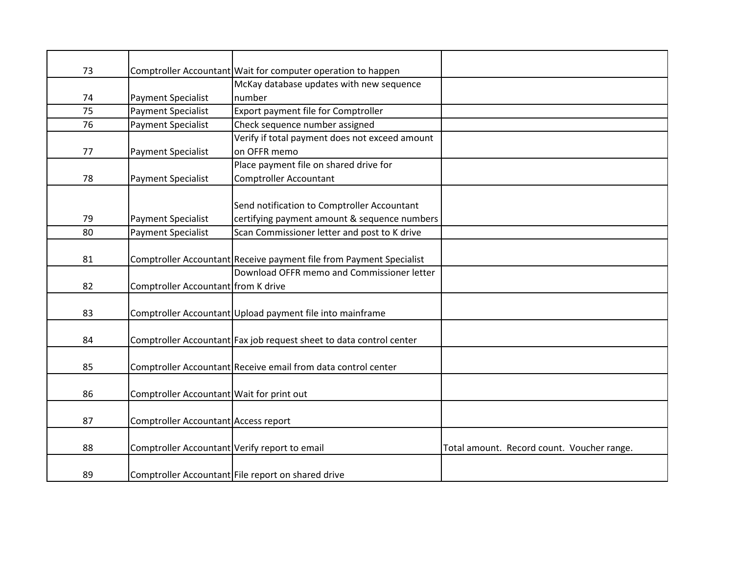| 73 |                                               | Comptroller Accountant Wait for computer operation to happen        |                                            |
|----|-----------------------------------------------|---------------------------------------------------------------------|--------------------------------------------|
|    |                                               | McKay database updates with new sequence                            |                                            |
| 74 | <b>Payment Specialist</b>                     | number                                                              |                                            |
| 75 | <b>Payment Specialist</b>                     | Export payment file for Comptroller                                 |                                            |
| 76 | <b>Payment Specialist</b>                     | Check sequence number assigned                                      |                                            |
|    |                                               | Verify if total payment does not exceed amount                      |                                            |
| 77 | <b>Payment Specialist</b>                     | on OFFR memo                                                        |                                            |
|    |                                               | Place payment file on shared drive for                              |                                            |
| 78 | <b>Payment Specialist</b>                     | <b>Comptroller Accountant</b>                                       |                                            |
|    |                                               |                                                                     |                                            |
|    |                                               | Send notification to Comptroller Accountant                         |                                            |
| 79 | <b>Payment Specialist</b>                     | certifying payment amount & sequence numbers                        |                                            |
| 80 | <b>Payment Specialist</b>                     | Scan Commissioner letter and post to K drive                        |                                            |
|    |                                               |                                                                     |                                            |
| 81 |                                               | Comptroller Accountant Receive payment file from Payment Specialist |                                            |
|    |                                               | Download OFFR memo and Commissioner letter                          |                                            |
| 82 | Comptroller Accountant from K drive           |                                                                     |                                            |
|    |                                               |                                                                     |                                            |
| 83 |                                               | Comptroller Accountant Upload payment file into mainframe           |                                            |
|    |                                               |                                                                     |                                            |
| 84 |                                               | Comptroller Accountant Fax job request sheet to data control center |                                            |
|    |                                               |                                                                     |                                            |
| 85 |                                               | Comptroller Accountant Receive email from data control center       |                                            |
|    |                                               |                                                                     |                                            |
| 86 | Comptroller Accountant Wait for print out     |                                                                     |                                            |
|    |                                               |                                                                     |                                            |
| 87 | Comptroller Accountant Access report          |                                                                     |                                            |
|    |                                               |                                                                     |                                            |
| 88 | Comptroller Accountant Verify report to email |                                                                     | Total amount. Record count. Voucher range. |
|    |                                               |                                                                     |                                            |
| 89 |                                               | Comptroller Accountant File report on shared drive                  |                                            |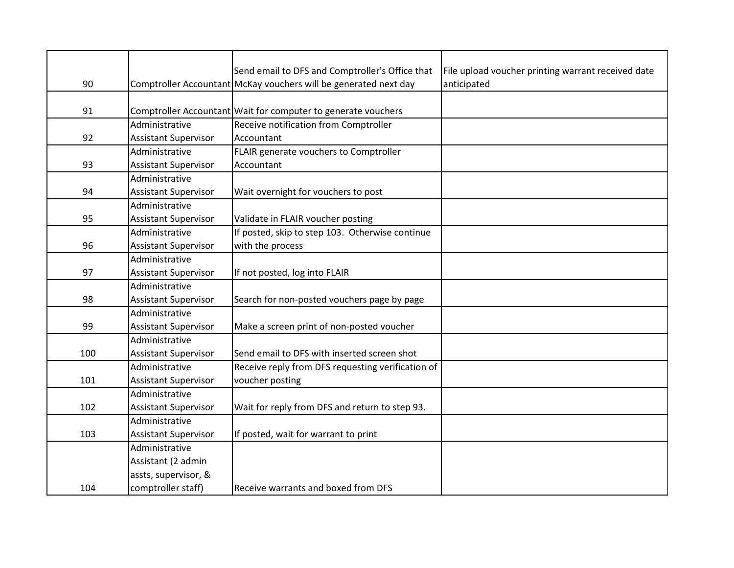|     |                             | Send email to DFS and Comptroller's Office that                  | File upload voucher printing warrant received date |
|-----|-----------------------------|------------------------------------------------------------------|----------------------------------------------------|
| 90  |                             | Comptroller Accountant McKay vouchers will be generated next day | anticipated                                        |
|     |                             |                                                                  |                                                    |
| 91  |                             | Comptroller Accountant   Wait for computer to generate vouchers  |                                                    |
|     | Administrative              | Receive notification from Comptroller                            |                                                    |
| 92  | <b>Assistant Supervisor</b> | Accountant                                                       |                                                    |
|     | Administrative              | FLAIR generate vouchers to Comptroller                           |                                                    |
| 93  | <b>Assistant Supervisor</b> | Accountant                                                       |                                                    |
|     | Administrative              |                                                                  |                                                    |
| 94  | <b>Assistant Supervisor</b> | Wait overnight for vouchers to post                              |                                                    |
|     | Administrative              |                                                                  |                                                    |
| 95  | <b>Assistant Supervisor</b> | Validate in FLAIR voucher posting                                |                                                    |
|     | Administrative              | If posted, skip to step 103. Otherwise continue                  |                                                    |
| 96  | <b>Assistant Supervisor</b> | with the process                                                 |                                                    |
|     | Administrative              |                                                                  |                                                    |
| 97  | <b>Assistant Supervisor</b> | If not posted, log into FLAIR                                    |                                                    |
|     | Administrative              |                                                                  |                                                    |
| 98  | <b>Assistant Supervisor</b> | Search for non-posted vouchers page by page                      |                                                    |
|     | Administrative              |                                                                  |                                                    |
| 99  | <b>Assistant Supervisor</b> | Make a screen print of non-posted voucher                        |                                                    |
|     | Administrative              |                                                                  |                                                    |
| 100 | <b>Assistant Supervisor</b> | Send email to DFS with inserted screen shot                      |                                                    |
|     | Administrative              | Receive reply from DFS requesting verification of                |                                                    |
| 101 | <b>Assistant Supervisor</b> | voucher posting                                                  |                                                    |
|     | Administrative              |                                                                  |                                                    |
| 102 | <b>Assistant Supervisor</b> | Wait for reply from DFS and return to step 93.                   |                                                    |
|     | Administrative              |                                                                  |                                                    |
| 103 | <b>Assistant Supervisor</b> | If posted, wait for warrant to print                             |                                                    |
|     | Administrative              |                                                                  |                                                    |
|     | Assistant (2 admin          |                                                                  |                                                    |
|     | assts, supervisor, &        |                                                                  |                                                    |
| 104 | comptroller staff)          | Receive warrants and boxed from DFS                              |                                                    |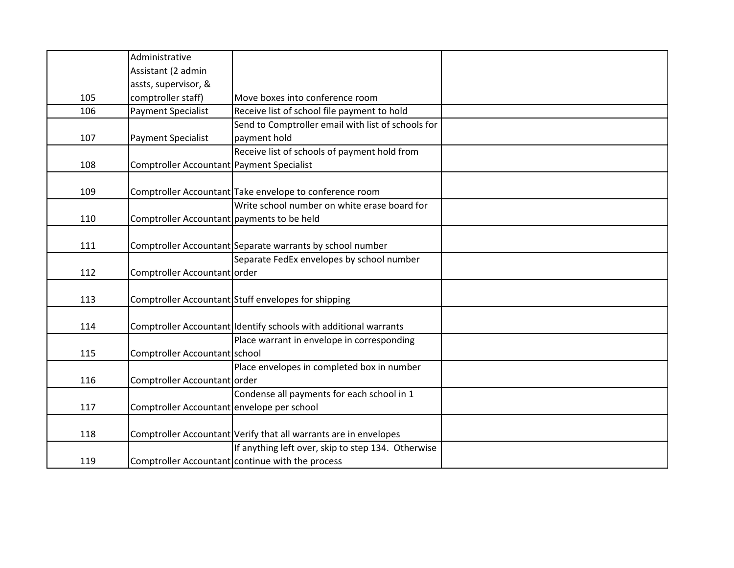|     | Administrative                             |                                                                  |  |
|-----|--------------------------------------------|------------------------------------------------------------------|--|
|     | Assistant (2 admin                         |                                                                  |  |
|     | assts, supervisor, &                       |                                                                  |  |
| 105 | comptroller staff)                         | Move boxes into conference room                                  |  |
| 106 | <b>Payment Specialist</b>                  | Receive list of school file payment to hold                      |  |
|     |                                            | Send to Comptroller email with list of schools for               |  |
| 107 | <b>Payment Specialist</b>                  | payment hold                                                     |  |
|     |                                            | Receive list of schools of payment hold from                     |  |
| 108 | Comptroller Accountant Payment Specialist  |                                                                  |  |
|     |                                            |                                                                  |  |
| 109 |                                            | Comptroller Accountant Take envelope to conference room          |  |
|     |                                            | Write school number on white erase board for                     |  |
| 110 | Comptroller Accountant payments to be held |                                                                  |  |
|     |                                            |                                                                  |  |
| 111 |                                            | Comptroller Accountant Separate warrants by school number        |  |
|     |                                            | Separate FedEx envelopes by school number                        |  |
| 112 | Comptroller Accountant order               |                                                                  |  |
|     |                                            |                                                                  |  |
| 113 |                                            | Comptroller Accountant Stuff envelopes for shipping              |  |
|     |                                            |                                                                  |  |
| 114 |                                            | Comptroller Accountant Identify schools with additional warrants |  |
|     |                                            | Place warrant in envelope in corresponding                       |  |
| 115 | Comptroller Accountant school              |                                                                  |  |
|     |                                            | Place envelopes in completed box in number                       |  |
| 116 | Comptroller Accountant order               |                                                                  |  |
|     |                                            | Condense all payments for each school in 1                       |  |
| 117 | Comptroller Accountant envelope per school |                                                                  |  |
|     |                                            |                                                                  |  |
| 118 |                                            | Comptroller Accountant Verify that all warrants are in envelopes |  |
|     |                                            | If anything left over, skip to step 134. Otherwise               |  |
| 119 |                                            | Comptroller Accountant continue with the process                 |  |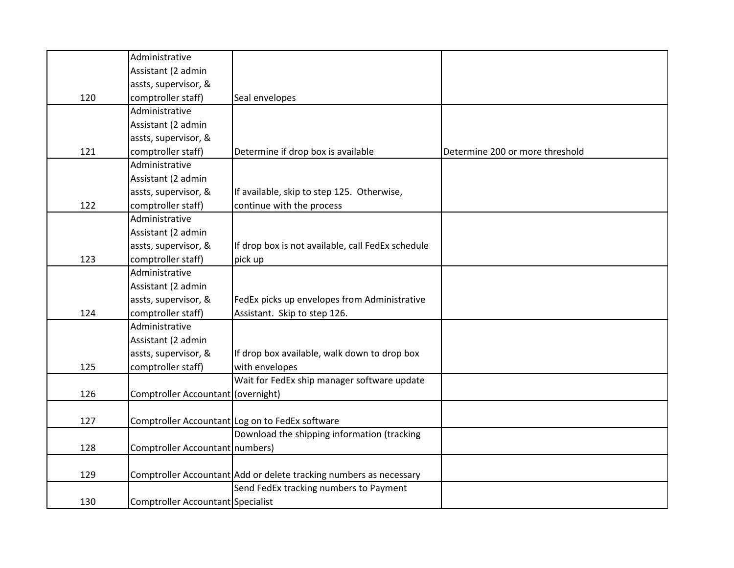|     | Administrative                     |                                                                    |                                 |
|-----|------------------------------------|--------------------------------------------------------------------|---------------------------------|
|     | Assistant (2 admin                 |                                                                    |                                 |
|     | assts, supervisor, &               |                                                                    |                                 |
| 120 | comptroller staff)                 | Seal envelopes                                                     |                                 |
|     | Administrative                     |                                                                    |                                 |
|     | Assistant (2 admin                 |                                                                    |                                 |
|     | assts, supervisor, &               |                                                                    |                                 |
| 121 | comptroller staff)                 | Determine if drop box is available                                 | Determine 200 or more threshold |
|     | Administrative                     |                                                                    |                                 |
|     | Assistant (2 admin                 |                                                                    |                                 |
|     | assts, supervisor, &               | If available, skip to step 125. Otherwise,                         |                                 |
| 122 | comptroller staff)                 | continue with the process                                          |                                 |
|     | Administrative                     |                                                                    |                                 |
|     | Assistant (2 admin                 |                                                                    |                                 |
|     | assts, supervisor, &               | If drop box is not available, call FedEx schedule                  |                                 |
| 123 | comptroller staff)                 | pick up                                                            |                                 |
|     | Administrative                     |                                                                    |                                 |
|     | Assistant (2 admin                 |                                                                    |                                 |
|     | assts, supervisor, &               | FedEx picks up envelopes from Administrative                       |                                 |
| 124 | comptroller staff)                 | Assistant. Skip to step 126.                                       |                                 |
|     | Administrative                     |                                                                    |                                 |
|     | Assistant (2 admin                 |                                                                    |                                 |
|     | assts, supervisor, &               | If drop box available, walk down to drop box                       |                                 |
| 125 | comptroller staff)                 | with envelopes                                                     |                                 |
|     |                                    | Wait for FedEx ship manager software update                        |                                 |
| 126 | Comptroller Accountant (overnight) |                                                                    |                                 |
|     |                                    |                                                                    |                                 |
| 127 |                                    | Comptroller Accountant Log on to FedEx software                    |                                 |
|     |                                    | Download the shipping information (tracking                        |                                 |
| 128 | Comptroller Accountant numbers)    |                                                                    |                                 |
|     |                                    |                                                                    |                                 |
| 129 |                                    | Comptroller Accountant Add or delete tracking numbers as necessary |                                 |
|     |                                    | Send FedEx tracking numbers to Payment                             |                                 |
| 130 | Comptroller Accountant Specialist  |                                                                    |                                 |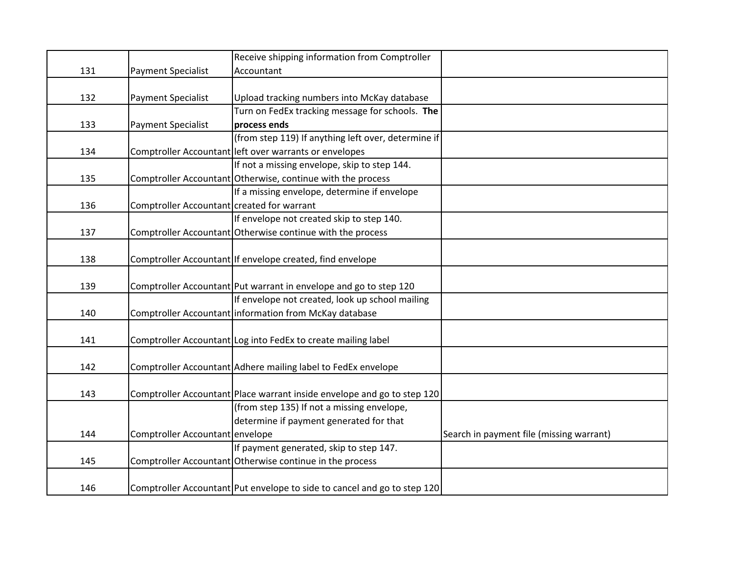|     |                                            | Receive shipping information from Comptroller                            |                                          |
|-----|--------------------------------------------|--------------------------------------------------------------------------|------------------------------------------|
| 131 | Payment Specialist                         | Accountant                                                               |                                          |
|     |                                            |                                                                          |                                          |
| 132 | Payment Specialist                         | Upload tracking numbers into McKay database                              |                                          |
|     |                                            | Turn on FedEx tracking message for schools. The                          |                                          |
| 133 | <b>Payment Specialist</b>                  | process ends                                                             |                                          |
|     |                                            | (from step 119) If anything left over, determine if                      |                                          |
| 134 |                                            | Comptroller Accountant left over warrants or envelopes                   |                                          |
|     |                                            | If not a missing envelope, skip to step 144.                             |                                          |
| 135 |                                            | Comptroller Accountant Otherwise, continue with the process              |                                          |
|     |                                            | If a missing envelope, determine if envelope                             |                                          |
| 136 | Comptroller Accountant created for warrant |                                                                          |                                          |
|     |                                            | If envelope not created skip to step 140.                                |                                          |
| 137 |                                            | Comptroller Accountant Otherwise continue with the process               |                                          |
|     |                                            |                                                                          |                                          |
| 138 |                                            | Comptroller Accountant If envelope created, find envelope                |                                          |
|     |                                            |                                                                          |                                          |
| 139 |                                            | Comptroller Accountant Put warrant in envelope and go to step 120        |                                          |
|     |                                            | If envelope not created, look up school mailing                          |                                          |
| 140 |                                            | Comptroller Accountant information from McKay database                   |                                          |
|     |                                            |                                                                          |                                          |
| 141 |                                            | Comptroller Accountant Log into FedEx to create mailing label            |                                          |
|     |                                            |                                                                          |                                          |
| 142 |                                            | Comptroller Accountant Adhere mailing label to FedEx envelope            |                                          |
|     |                                            |                                                                          |                                          |
| 143 |                                            | Comptroller Accountant Place warrant inside envelope and go to step 120  |                                          |
|     |                                            | (from step 135) If not a missing envelope,                               |                                          |
|     |                                            | determine if payment generated for that                                  |                                          |
| 144 | Comptroller Accountant envelope            |                                                                          | Search in payment file (missing warrant) |
|     |                                            | If payment generated, skip to step 147.                                  |                                          |
| 145 |                                            | Comptroller Accountant Otherwise continue in the process                 |                                          |
|     |                                            |                                                                          |                                          |
| 146 |                                            | Comptroller Accountant Put envelope to side to cancel and go to step 120 |                                          |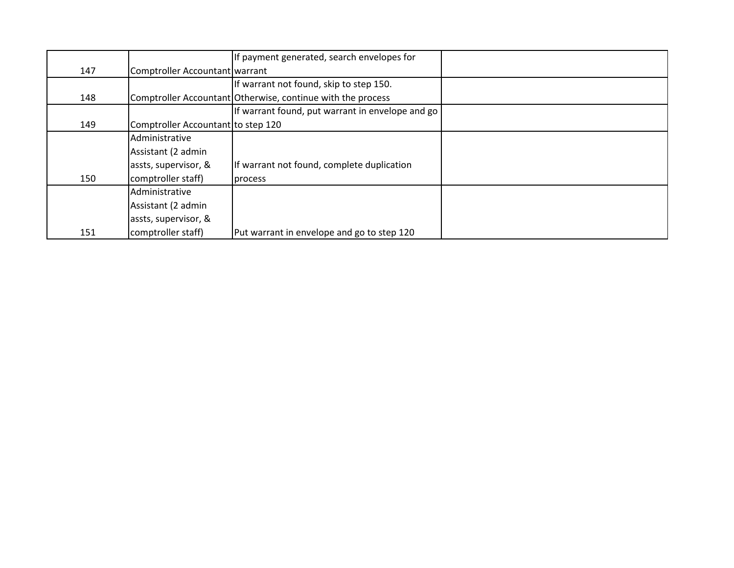|     |                                    | If payment generated, search envelopes for                  |  |
|-----|------------------------------------|-------------------------------------------------------------|--|
| 147 | Comptroller Accountant warrant     |                                                             |  |
|     |                                    | If warrant not found, skip to step 150.                     |  |
| 148 |                                    | Comptroller Accountant Otherwise, continue with the process |  |
|     |                                    | If warrant found, put warrant in envelope and go            |  |
| 149 | Comptroller Accountant to step 120 |                                                             |  |
|     | Administrative                     |                                                             |  |
|     | Assistant (2 admin                 |                                                             |  |
|     | assts, supervisor, &               | If warrant not found, complete duplication                  |  |
| 150 | comptroller staff)                 | process                                                     |  |
|     | Administrative                     |                                                             |  |
|     | Assistant (2 admin                 |                                                             |  |
|     | assts, supervisor, &               |                                                             |  |
| 151 | comptroller staff)                 | Put warrant in envelope and go to step 120                  |  |